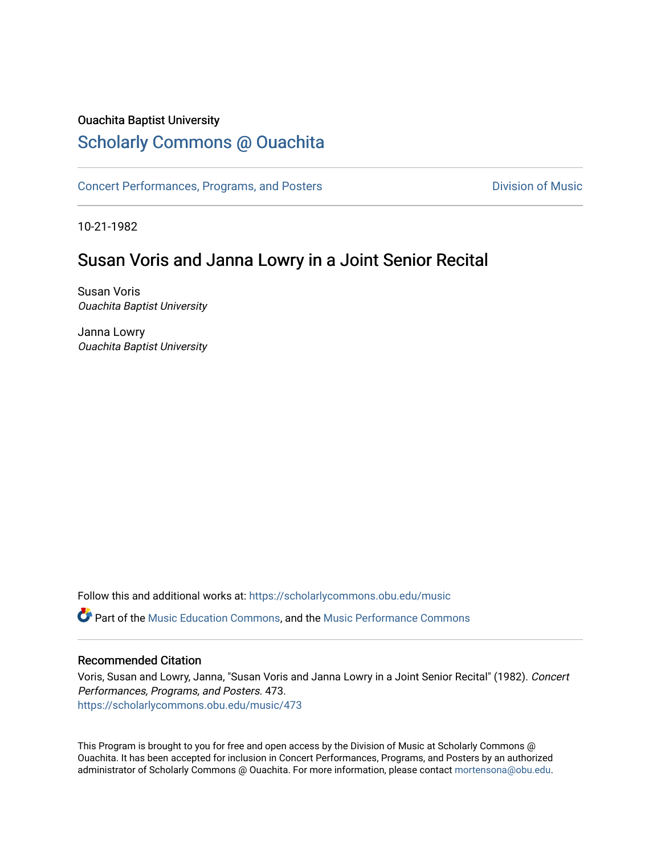## Ouachita Baptist University

## [Scholarly Commons @ Ouachita](https://scholarlycommons.obu.edu/)

[Concert Performances, Programs, and Posters](https://scholarlycommons.obu.edu/music) **Division of Music** Division of Music

10-21-1982

# Susan Voris and Janna Lowry in a Joint Senior Recital

Susan Voris Ouachita Baptist University

Janna Lowry Ouachita Baptist University

Follow this and additional works at: [https://scholarlycommons.obu.edu/music](https://scholarlycommons.obu.edu/music?utm_source=scholarlycommons.obu.edu%2Fmusic%2F473&utm_medium=PDF&utm_campaign=PDFCoverPages)  Part of the [Music Education Commons,](http://network.bepress.com/hgg/discipline/1246?utm_source=scholarlycommons.obu.edu%2Fmusic%2F473&utm_medium=PDF&utm_campaign=PDFCoverPages) and the [Music Performance Commons](http://network.bepress.com/hgg/discipline/1128?utm_source=scholarlycommons.obu.edu%2Fmusic%2F473&utm_medium=PDF&utm_campaign=PDFCoverPages) 

## Recommended Citation

Voris, Susan and Lowry, Janna, "Susan Voris and Janna Lowry in a Joint Senior Recital" (1982). Concert Performances, Programs, and Posters. 473. [https://scholarlycommons.obu.edu/music/473](https://scholarlycommons.obu.edu/music/473?utm_source=scholarlycommons.obu.edu%2Fmusic%2F473&utm_medium=PDF&utm_campaign=PDFCoverPages) 

This Program is brought to you for free and open access by the Division of Music at Scholarly Commons @ Ouachita. It has been accepted for inclusion in Concert Performances, Programs, and Posters by an authorized administrator of Scholarly Commons @ Ouachita. For more information, please contact [mortensona@obu.edu](mailto:mortensona@obu.edu).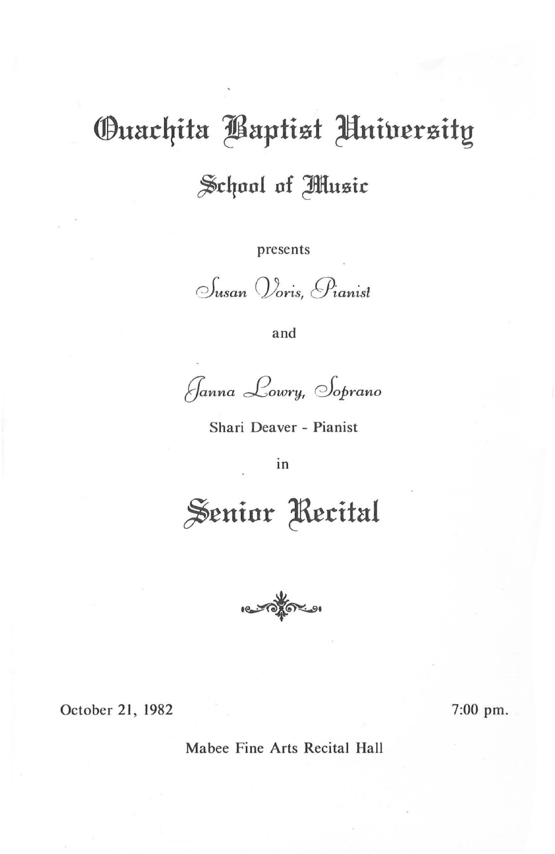# **Ouachita Baptist Hniversity** School of Music

presents

Susan Voris, Pianist

and

Janna Lowry, Soprano

Shari Deaver - Pianist

in

Senior Recital



October 21, 1982

7:00 pm.

Mabee Fine Arts Recital Hall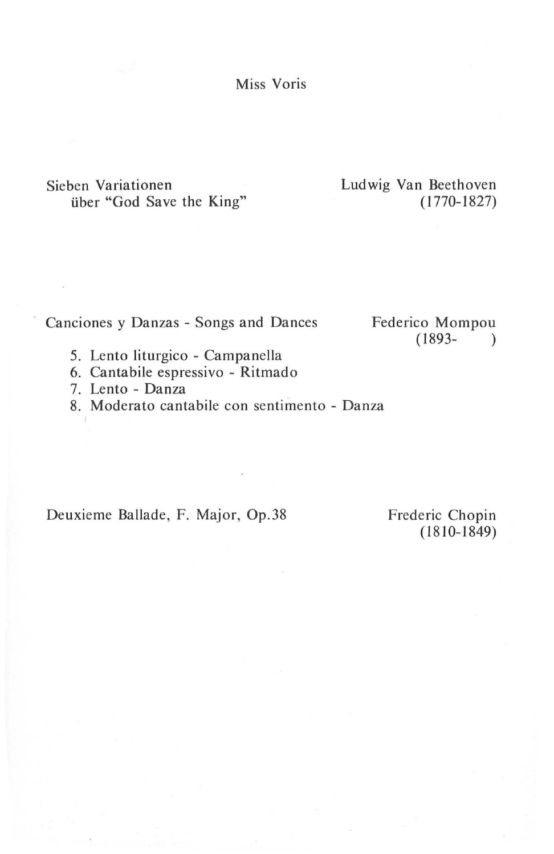Miss Voris

Sieben Variationen über "God Save the King" Ludwig Van Beethoven ( 1770- 1827)

Canciones y Danzas - Songs and Dances

Federico Mompou  $(1893 - )$ 

- 5. Lento liturgico Campanella
- 6. Cantabile espressivo Ritmado
- 7. Lento Danza
- 8. Moderato cantabile con sentimento Danza

Deuxieme Ballade, F. Major, Op.38 Frederic Chopin

 $(1810 - 1849)$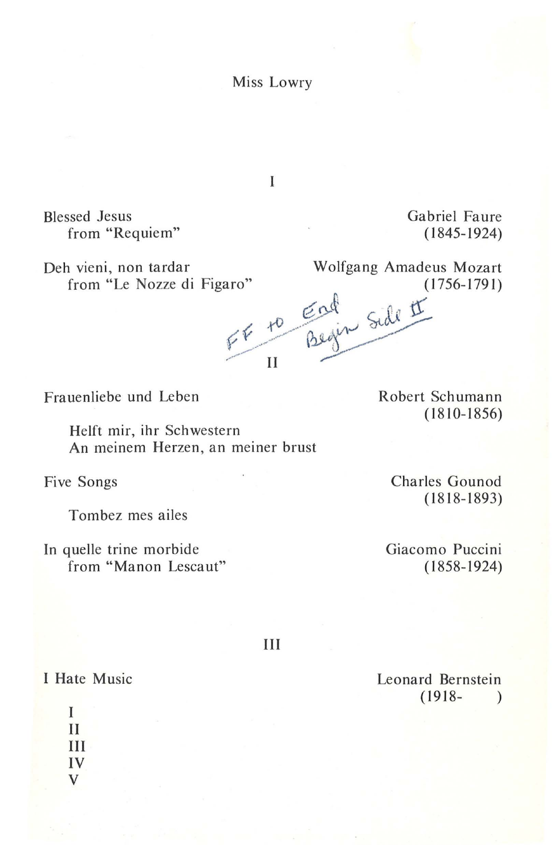Miss Lowry

Blessed Jesus from "Requiem"

Gabriel Faure (1845-1924)

Deh vieni, non tardar Wolfgang Amadeus Mozart<br>from "Le Nozze di Figaro" (1756-1791) from "Le Nozze di Figaro" (1756-1791)

 $F$   $F$   $\frac{F}{B}$   $\frac{G}{V}$  side  $\frac{H}{V}$ / II *?"-*

Frauenliebe und Leben

Helft mir, ihr Schwestern An meinem Herzen, an meiner brust

Five Songs

Tombez mes ailes

In quelle trine morbide from "Manon Lescaut" Robert Schumann (1810-1856)

Charles Gounod (1818-1893)

Giacomo Puccini (1858-1924)

III

I Hate Music

I II III IV v

Leonard Bernstein  $(1918 - )$ 

 $\mathbf{I}$